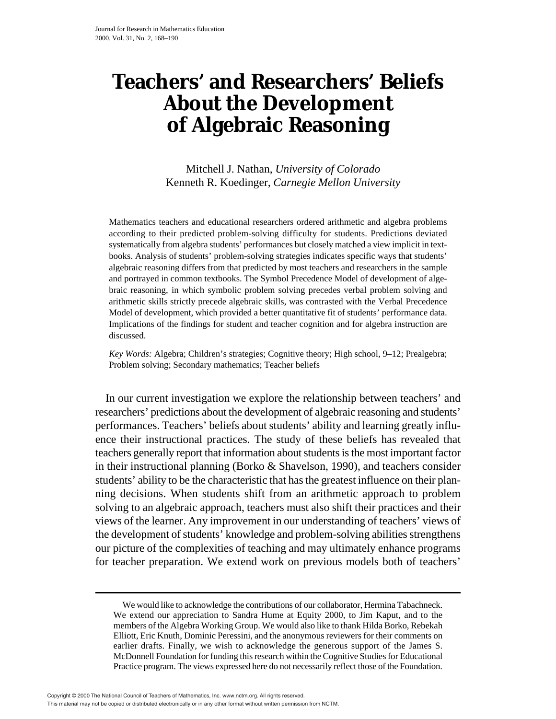# **Teachers' and Researchers' Beliefs About the Development of Algebraic Reasoning**

Mitchell J. Nathan, *University of Colorado* Kenneth R. Koedinger, *Carnegie Mellon University*

Mathematics teachers and educational researchers ordered arithmetic and algebra problems according to their predicted problem-solving difficulty for students. Predictions deviated systematically from algebra students' performances but closely matched a view implicit in textbooks. Analysis of students' problem-solving strategies indicates specific ways that students' algebraic reasoning differs from that predicted by most teachers and researchers in the sample and portrayed in common textbooks. The Symbol Precedence Model of development of algebraic reasoning, in which symbolic problem solving precedes verbal problem solving and arithmetic skills strictly precede algebraic skills, was contrasted with the Verbal Precedence Model of development, which provided a better quantitative fit of students' performance data. Implications of the findings for student and teacher cognition and for algebra instruction are discussed.

*Key Words:* Algebra; Children's strategies; Cognitive theory; High school, 9–12; Prealgebra; Problem solving; Secondary mathematics; Teacher beliefs

In our current investigation we explore the relationship between teachers' and researchers' predictions about the development of algebraic reasoning and students' performances. Teachers' beliefs about students' ability and learning greatly influence their instructional practices. The study of these beliefs has revealed that teachers generally report that information about students is the most important factor in their instructional planning (Borko & Shavelson, 1990), and teachers consider students' ability to be the characteristic that has the greatest influence on their planning decisions. When students shift from an arithmetic approach to problem solving to an algebraic approach, teachers must also shift their practices and their views of the learner. Any improvement in our understanding of teachers' views of the development of students' knowledge and problem-solving abilities strengthens our picture of the complexities of teaching and may ultimately enhance programs for teacher preparation. We extend work on previous models both of teachers'

We would like to acknowledge the contributions of our collaborator, Hermina Tabachneck. We extend our appreciation to Sandra Hume at Equity 2000, to Jim Kaput, and to the members of the Algebra Working Group. We would also like to thank Hilda Borko, Rebekah Elliott, Eric Knuth, Dominic Peressini, and the anonymous reviewers for their comments on earlier drafts. Finally, we wish to acknowledge the generous support of the James S. McDonnell Foundation for funding this research within the Cognitive Studies for Educational Practice program. The views expressed here do not necessarily reflect those of the Foundation.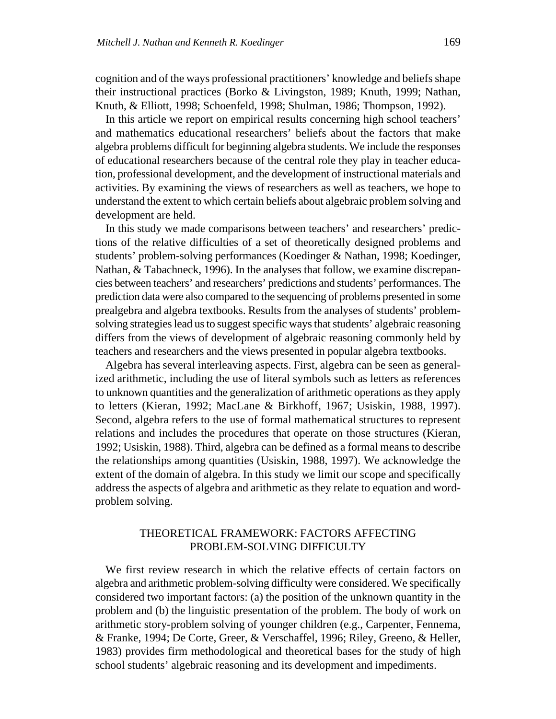cognition and of the ways professional practitioners' knowledge and beliefs shape their instructional practices (Borko & Livingston, 1989; Knuth, 1999; Nathan, Knuth, & Elliott, 1998; Schoenfeld, 1998; Shulman, 1986; Thompson, 1992).

In this article we report on empirical results concerning high school teachers' and mathematics educational researchers' beliefs about the factors that make algebra problems difficult for beginning algebra students. We include the responses of educational researchers because of the central role they play in teacher education, professional development, and the development of instructional materials and activities. By examining the views of researchers as well as teachers, we hope to understand the extent to which certain beliefs about algebraic problem solving and development are held.

In this study we made comparisons between teachers' and researchers' predictions of the relative difficulties of a set of theoretically designed problems and students' problem-solving performances (Koedinger & Nathan, 1998; Koedinger, Nathan, & Tabachneck, 1996). In the analyses that follow, we examine discrepancies between teachers' and researchers' predictions and students' performances. The prediction data were also compared to the sequencing of problems presented in some prealgebra and algebra textbooks. Results from the analyses of students' problemsolving strategies lead us to suggest specific ways that students' algebraic reasoning differs from the views of development of algebraic reasoning commonly held by teachers and researchers and the views presented in popular algebra textbooks.

Algebra has several interleaving aspects. First, algebra can be seen as generalized arithmetic, including the use of literal symbols such as letters as references to unknown quantities and the generalization of arithmetic operations as they apply to letters (Kieran, 1992; MacLane & Birkhoff, 1967; Usiskin, 1988, 1997). Second, algebra refers to the use of formal mathematical structures to represent relations and includes the procedures that operate on those structures (Kieran, 1992; Usiskin, 1988). Third, algebra can be defined as a formal means to describe the relationships among quantities (Usiskin, 1988, 1997). We acknowledge the extent of the domain of algebra. In this study we limit our scope and specifically address the aspects of algebra and arithmetic as they relate to equation and wordproblem solving.

## THEORETICAL FRAMEWORK: FACTORS AFFECTING PROBLEM-SOLVING DIFFICULTY

We first review research in which the relative effects of certain factors on algebra and arithmetic problem-solving difficulty were considered. We specifically considered two important factors: (a) the position of the unknown quantity in the problem and (b) the linguistic presentation of the problem. The body of work on arithmetic story-problem solving of younger children (e.g., Carpenter, Fennema, & Franke, 1994; De Corte, Greer, & Verschaffel, 1996; Riley, Greeno, & Heller, 1983) provides firm methodological and theoretical bases for the study of high school students' algebraic reasoning and its development and impediments.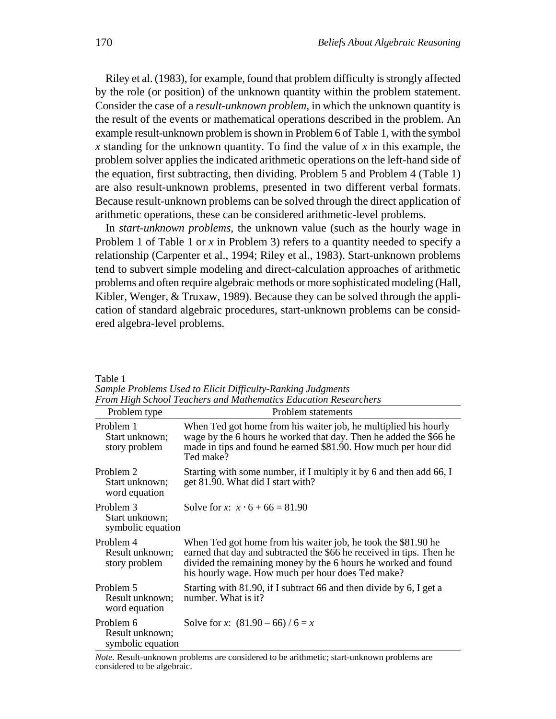Riley et al. (1983), for example, found that problem difficulty is strongly affected by the role (or position) of the unknown quantity within the problem statement. Consider the case of a *result-unknown problem,* in which the unknown quantity is the result of the events or mathematical operations described in the problem. An example result-unknown problem is shown in Problem 6 of Table 1, with the symbol *x* standing for the unknown quantity. To find the value of *x* in this example, the problem solver applies the indicated arithmetic operations on the left-hand side of the equation, first subtracting, then dividing. Problem 5 and Problem 4 (Table 1) are also result-unknown problems, presented in two different verbal formats. Because result-unknown problems can be solved through the direct application of arithmetic operations, these can be considered arithmetic-level problems.

In *start-unknown problems,* the unknown value (such as the hourly wage in Problem 1 of Table 1 or *x* in Problem 3) refers to a quantity needed to specify a relationship (Carpenter et al., 1994; Riley et al., 1983). Start-unknown problems tend to subvert simple modeling and direct-calculation approaches of arithmetic problems and often require algebraic methods or more sophisticated modeling (Hall, Kibler, Wenger, & Truxaw, 1989). Because they can be solved through the application of standard algebraic procedures, start-unknown problems can be considered algebra-level problems.

|                                                   | From High School Teachers and Mathematics Education Researchers                                                                                                                                                                                              |  |  |  |  |
|---------------------------------------------------|--------------------------------------------------------------------------------------------------------------------------------------------------------------------------------------------------------------------------------------------------------------|--|--|--|--|
| Problem type                                      | Problem statements                                                                                                                                                                                                                                           |  |  |  |  |
| Problem 1<br>Start unknown;<br>story problem      | When Ted got home from his waiter job, he multiplied his hourly<br>wage by the 6 hours he worked that day. Then he added the \$66 he<br>made in tips and found he earned \$81.90. How much per hour did<br>Ted make?                                         |  |  |  |  |
| Problem 2<br>Start unknown;<br>word equation      | Starting with some number, if I multiply it by 6 and then add 66, I<br>get 81.90. What did I start with?                                                                                                                                                     |  |  |  |  |
| Problem 3<br>Start unknown;<br>symbolic equation  | Solve for x: $x \cdot 6 + 66 = 81.90$                                                                                                                                                                                                                        |  |  |  |  |
| Problem 4<br>Result unknown;<br>story problem     | When Ted got home from his waiter job, he took the \$81.90 he<br>earned that day and subtracted the \$66 he received in tips. Then he<br>divided the remaining money by the 6 hours he worked and found<br>his hourly wage. How much per hour does Ted make? |  |  |  |  |
| Problem 5<br>Result unknown;<br>word equation     | Starting with 81.90, if I subtract 66 and then divide by 6, I get a<br>number. What is it?                                                                                                                                                                   |  |  |  |  |
| Problem 6<br>Result unknown;<br>symbolic equation | Solve for x: $(81.90 - 66) / 6 = x$                                                                                                                                                                                                                          |  |  |  |  |

Table 1 *Sample Problems Used to Elicit Difficulty-Ranking Judgments* 

*Note.* Result-unknown problems are considered to be arithmetic; start-unknown problems are considered to be algebraic.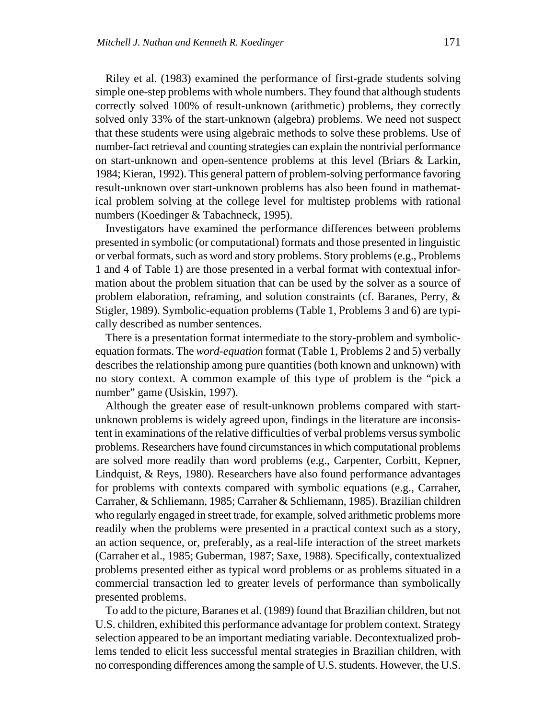Riley et al. (1983) examined the performance of first-grade students solving simple one-step problems with whole numbers. They found that although students correctly solved 100% of result-unknown (arithmetic) problems, they correctly solved only 33% of the start-unknown (algebra) problems. We need not suspect that these students were using algebraic methods to solve these problems. Use of number-fact retrieval and counting strategies can explain the nontrivial performance on start-unknown and open-sentence problems at this level (Briars & Larkin, 1984; Kieran, 1992). This general pattern of problem-solving performance favoring result-unknown over start-unknown problems has also been found in mathematical problem solving at the college level for multistep problems with rational numbers (Koedinger & Tabachneck, 1995).

Investigators have examined the performance differences between problems presented in symbolic (or computational) formats and those presented in linguistic or verbal formats, such as word and story problems. Story problems (e.g., Problems 1 and 4 of Table 1) are those presented in a verbal format with contextual information about the problem situation that can be used by the solver as a source of problem elaboration, reframing, and solution constraints (cf. Baranes, Perry, & Stigler, 1989). Symbolic-equation problems (Table 1, Problems 3 and 6) are typically described as number sentences.

There is a presentation format intermediate to the story-problem and symbolicequation formats. The *word-equation* format (Table 1, Problems 2 and 5) verbally describes the relationship among pure quantities (both known and unknown) with no story context. A common example of this type of problem is the "pick a number" game (Usiskin, 1997).

Although the greater ease of result-unknown problems compared with startunknown problems is widely agreed upon, findings in the literature are inconsistent in examinations of the relative difficulties of verbal problems versus symbolic problems. Researchers have found circumstances in which computational problems are solved more readily than word problems (e.g., Carpenter, Corbitt, Kepner, Lindquist, & Reys, 1980). Researchers have also found performance advantages for problems with contexts compared with symbolic equations (e.g., Carraher, Carraher, & Schliemann, 1985; Carraher & Schliemann, 1985). Brazilian children who regularly engaged in street trade, for example, solved arithmetic problems more readily when the problems were presented in a practical context such as a story, an action sequence, or, preferably, as a real-life interaction of the street markets (Carraher et al., 1985; Guberman, 1987; Saxe, 1988). Specifically, contextualized problems presented either as typical word problems or as problems situated in a commercial transaction led to greater levels of performance than symbolically presented problems.

To add to the picture, Baranes et al. (1989) found that Brazilian children, but not U.S. children, exhibited this performance advantage for problem context. Strategy selection appeared to be an important mediating variable. Decontextualized problems tended to elicit less successful mental strategies in Brazilian children, with no corresponding differences among the sample of U.S. students. However, the U.S.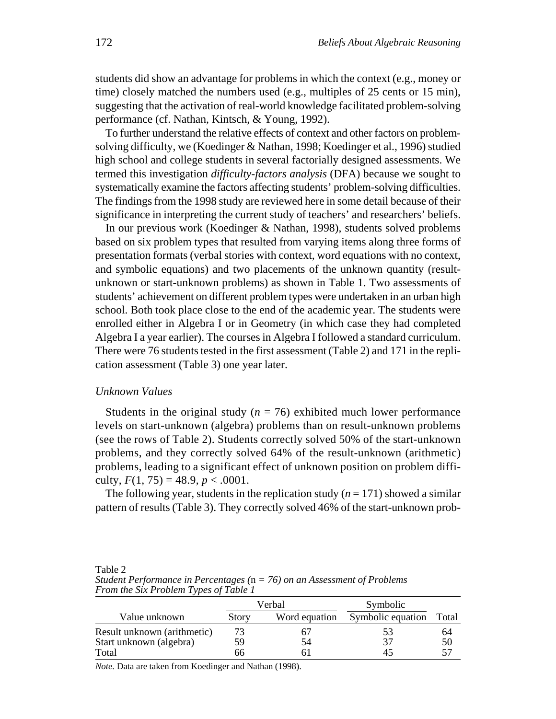students did show an advantage for problems in which the context (e.g., money or time) closely matched the numbers used (e.g., multiples of 25 cents or 15 min), suggesting that the activation of real-world knowledge facilitated problem-solving performance (cf. Nathan, Kintsch, & Young, 1992).

To further understand the relative effects of context and other factors on problemsolving difficulty, we (Koedinger & Nathan, 1998; Koedinger et al., 1996) studied high school and college students in several factorially designed assessments. We termed this investigation *difficulty-factors analysis* (DFA) because we sought to systematically examine the factors affecting students' problem-solving difficulties. The findings from the 1998 study are reviewed here in some detail because of their significance in interpreting the current study of teachers' and researchers' beliefs.

In our previous work (Koedinger & Nathan, 1998), students solved problems based on six problem types that resulted from varying items along three forms of presentation formats (verbal stories with context, word equations with no context, and symbolic equations) and two placements of the unknown quantity (resultunknown or start-unknown problems) as shown in Table 1. Two assessments of students' achievement on different problem types were undertaken in an urban high school. Both took place close to the end of the academic year. The students were enrolled either in Algebra I or in Geometry (in which case they had completed Algebra I a year earlier). The courses in Algebra I followed a standard curriculum. There were 76 students tested in the first assessment (Table 2) and 171 in the replication assessment (Table 3) one year later.

## *Unknown Values*

Students in the original study ( $n = 76$ ) exhibited much lower performance levels on start-unknown (algebra) problems than on result-unknown problems (see the rows of Table 2). Students correctly solved 50% of the start-unknown problems, and they correctly solved 64% of the result-unknown (arithmetic) problems, leading to a significant effect of unknown position on problem difficulty,  $F(1, 75) = 48.9, p < .0001$ .

The following year, students in the replication study  $(n = 171)$  showed a similar pattern of results (Table 3). They correctly solved 46% of the start-unknown prob-

Table 2 *Student Performance in Percentages (*n *= 76) on an Assessment of Problems From the Six Problem Types of Table 1* 

|                             | Verbal       |               | Symbolic          |       |  |
|-----------------------------|--------------|---------------|-------------------|-------|--|
| Value unknown               | <b>Story</b> | Word equation | Symbolic equation | Total |  |
| Result unknown (arithmetic) |              | n/            | 53                | 64    |  |
| Start unknown (algebra)     | 59           | 54            | 37                | 50    |  |
| Total                       | იი           |               | 45                | 57    |  |

*Note.* Data are taken from Koedinger and Nathan (1998).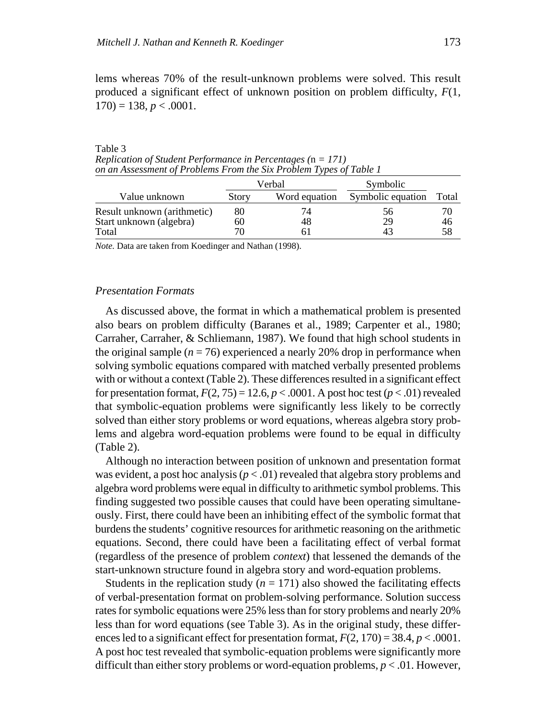lems whereas 70% of the result-unknown problems were solved. This result produced a significant effect of unknown position on problem difficulty, *F*(1,  $170$ ) = 138, *p* < .0001.

Table 3 *Replication of Student Performance in Percentages (*n *= 171) on an Assessment of Problems From the Six Problem Types of Table 1*

|                             | Verbal |               | Symbolic          |       |
|-----------------------------|--------|---------------|-------------------|-------|
| Value unknown               | Story  | Word equation | Symbolic equation | Total |
| Result unknown (arithmetic) | 80     | 74            | 56 <sub>1</sub>   |       |
| Start unknown (algebra)     | 60     | 48            | 29                | 46    |
| Total                       |        |               |                   | 58    |

*Note.* Data are taken from Koedinger and Nathan (1998).

## *Presentation Formats*

As discussed above, the format in which a mathematical problem is presented also bears on problem difficulty (Baranes et al., 1989; Carpenter et al., 1980; Carraher, Carraher, & Schliemann, 1987). We found that high school students in the original sample  $(n = 76)$  experienced a nearly 20% drop in performance when solving symbolic equations compared with matched verbally presented problems with or without a context (Table 2). These differences resulted in a significant effect for presentation format,  $F(2, 75) = 12.6$ ,  $p < .0001$ . A post hoc test ( $p < .01$ ) revealed that symbolic-equation problems were significantly less likely to be correctly solved than either story problems or word equations, whereas algebra story problems and algebra word-equation problems were found to be equal in difficulty (Table 2).

Although no interaction between position of unknown and presentation format was evident, a post hoc analysis  $(p < .01)$  revealed that algebra story problems and algebra word problems were equal in difficulty to arithmetic symbol problems. This finding suggested two possible causes that could have been operating simultaneously. First, there could have been an inhibiting effect of the symbolic format that burdens the students' cognitive resources for arithmetic reasoning on the arithmetic equations. Second, there could have been a facilitating effect of verbal format (regardless of the presence of problem *context*) that lessened the demands of the start-unknown structure found in algebra story and word-equation problems.

Students in the replication study  $(n = 171)$  also showed the facilitating effects of verbal-presentation format on problem-solving performance. Solution success rates for symbolic equations were 25% less than for story problems and nearly 20% less than for word equations (see Table 3). As in the original study, these differences led to a significant effect for presentation format,  $F(2, 170) = 38.4$ ,  $p < .0001$ . A post hoc test revealed that symbolic-equation problems were significantly more difficult than either story problems or word-equation problems, *p* < .01. However,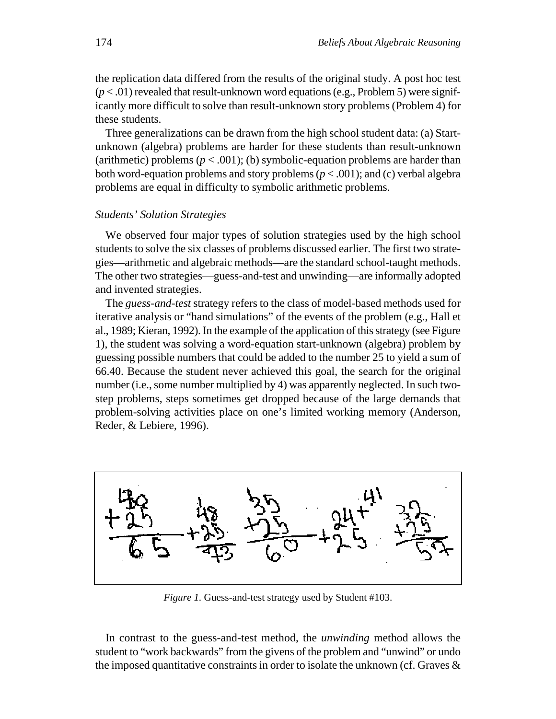the replication data differed from the results of the original study. A post hoc test (*p* < .01) revealed that result-unknown word equations (e.g., Problem 5) were significantly more difficult to solve than result-unknown story problems (Problem 4) for these students.

Three generalizations can be drawn from the high school student data: (a) Startunknown (algebra) problems are harder for these students than result-unknown (arithmetic) problems  $(p < .001)$ ; (b) symbolic-equation problems are harder than both word-equation problems and story problems (*p* < .001); and (c) verbal algebra problems are equal in difficulty to symbolic arithmetic problems.

## *Students' Solution Strategies*

We observed four major types of solution strategies used by the high school students to solve the six classes of problems discussed earlier. The first two strategies—arithmetic and algebraic methods—are the standard school-taught methods. The other two strategies—guess-and-test and unwinding—are informally adopted and invented strategies.

The *guess-and-test* strategy refers to the class of model-based methods used for iterative analysis or "hand simulations" of the events of the problem (e.g., Hall et al., 1989; Kieran, 1992). In the example of the application of this strategy (see Figure 1), the student was solving a word-equation start-unknown (algebra) problem by guessing possible numbers that could be added to the number 25 to yield a sum of 66.40. Because the student never achieved this goal, the search for the original number (i.e., some number multiplied by 4) was apparently neglected. In such twostep problems, steps sometimes get dropped because of the large demands that problem-solving activities place on one's limited working memory (Anderson, Reder, & Lebiere, 1996).



*Figure 1.* Guess-and-test strategy used by Student #103.

In contrast to the guess-and-test method, the *unwinding* method allows the student to "work backwards" from the givens of the problem and "unwind" or undo the imposed quantitative constraints in order to isolate the unknown (cf. Graves  $\&$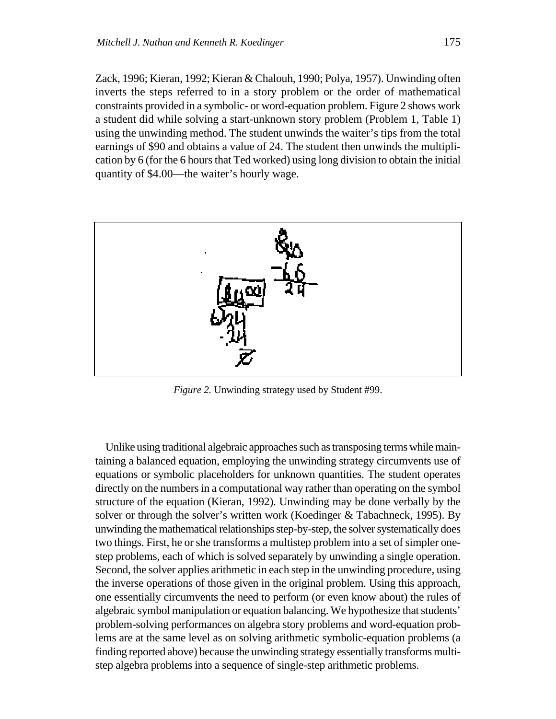Zack, 1996; Kieran, 1992; Kieran & Chalouh, 1990; Polya, 1957). Unwinding often inverts the steps referred to in a story problem or the order of mathematical constraints provided in a symbolic- or word-equation problem. Figure 2 shows work a student did while solving a start-unknown story problem (Problem 1, Table 1) using the unwinding method. The student unwinds the waiter's tips from the total earnings of \$90 and obtains a value of 24. The student then unwinds the multiplication by 6 (for the 6 hours that Ted worked) using long division to obtain the initial quantity of \$4.00—the waiter's hourly wage.



*Figure 2.* Unwinding strategy used by Student #99.

Unlike using traditional algebraic approaches such as transposing terms while maintaining a balanced equation, employing the unwinding strategy circumvents use of equations or symbolic placeholders for unknown quantities. The student operates directly on the numbers in a computational way rather than operating on the symbol structure of the equation (Kieran, 1992). Unwinding may be done verbally by the solver or through the solver's written work (Koedinger & Tabachneck, 1995). By unwinding the mathematical relationships step-by-step, the solver systematically does two things. First, he or she transforms a multistep problem into a set of simpler onestep problems, each of which is solved separately by unwinding a single operation. Second, the solver applies arithmetic in each step in the unwinding procedure, using the inverse operations of those given in the original problem. Using this approach, one essentially circumvents the need to perform (or even know about) the rules of algebraic symbol manipulation or equation balancing. We hypothesize that students' problem-solving performances on algebra story problems and word-equation problems are at the same level as on solving arithmetic symbolic-equation problems (a finding reported above) because the unwinding strategy essentially transforms multistep algebra problems into a sequence of single-step arithmetic problems.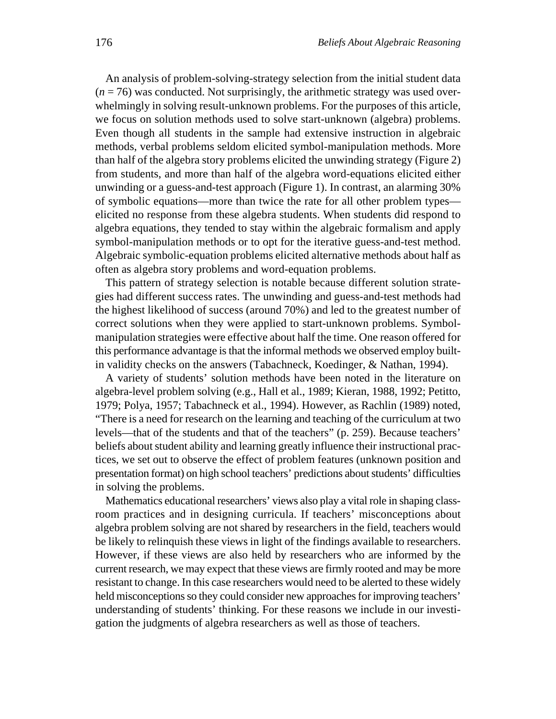An analysis of problem-solving-strategy selection from the initial student data (*n* = 76) was conducted. Not surprisingly, the arithmetic strategy was used overwhelmingly in solving result-unknown problems. For the purposes of this article, we focus on solution methods used to solve start-unknown (algebra) problems. Even though all students in the sample had extensive instruction in algebraic methods, verbal problems seldom elicited symbol-manipulation methods. More than half of the algebra story problems elicited the unwinding strategy (Figure 2) from students, and more than half of the algebra word-equations elicited either unwinding or a guess-and-test approach (Figure 1). In contrast, an alarming 30% of symbolic equations—more than twice the rate for all other problem types elicited no response from these algebra students. When students did respond to algebra equations, they tended to stay within the algebraic formalism and apply symbol-manipulation methods or to opt for the iterative guess-and-test method. Algebraic symbolic-equation problems elicited alternative methods about half as often as algebra story problems and word-equation problems.

This pattern of strategy selection is notable because different solution strategies had different success rates. The unwinding and guess-and-test methods had the highest likelihood of success (around 70%) and led to the greatest number of correct solutions when they were applied to start-unknown problems. Symbolmanipulation strategies were effective about half the time. One reason offered for this performance advantage is that the informal methods we observed employ builtin validity checks on the answers (Tabachneck, Koedinger, & Nathan, 1994).

A variety of students' solution methods have been noted in the literature on algebra-level problem solving (e.g., Hall et al., 1989; Kieran, 1988, 1992; Petitto, 1979; Polya, 1957; Tabachneck et al., 1994). However, as Rachlin (1989) noted, "There is a need for research on the learning and teaching of the curriculum at two levels—that of the students and that of the teachers" (p. 259). Because teachers' beliefs about student ability and learning greatly influence their instructional practices, we set out to observe the effect of problem features (unknown position and presentation format) on high school teachers' predictions about students' difficulties in solving the problems.

Mathematics educational researchers' views also play a vital role in shaping classroom practices and in designing curricula. If teachers' misconceptions about algebra problem solving are not shared by researchers in the field, teachers would be likely to relinquish these views in light of the findings available to researchers. However, if these views are also held by researchers who are informed by the current research, we may expect that these views are firmly rooted and may be more resistant to change. In this case researchers would need to be alerted to these widely held misconceptions so they could consider new approaches for improving teachers' understanding of students' thinking. For these reasons we include in our investigation the judgments of algebra researchers as well as those of teachers.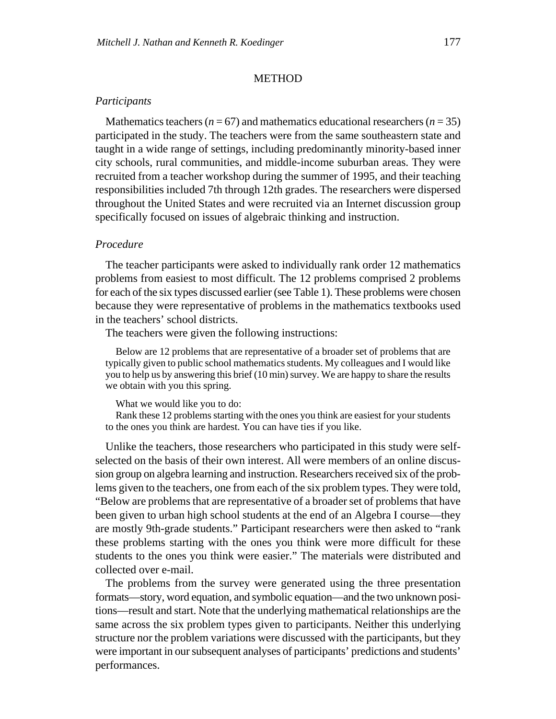#### METHOD

## *Participants*

Mathematics teachers ( $n = 67$ ) and mathematics educational researchers ( $n = 35$ ) participated in the study. The teachers were from the same southeastern state and taught in a wide range of settings, including predominantly minority-based inner city schools, rural communities, and middle-income suburban areas. They were recruited from a teacher workshop during the summer of 1995, and their teaching responsibilities included 7th through 12th grades. The researchers were dispersed throughout the United States and were recruited via an Internet discussion group specifically focused on issues of algebraic thinking and instruction.

## *Procedure*

The teacher participants were asked to individually rank order 12 mathematics problems from easiest to most difficult. The 12 problems comprised 2 problems for each of the six types discussed earlier (see Table 1). These problems were chosen because they were representative of problems in the mathematics textbooks used in the teachers' school districts.

The teachers were given the following instructions:

Below are 12 problems that are representative of a broader set of problems that are typically given to public school mathematics students. My colleagues and I would like you to help us by answering this brief (10 min) survey. We are happy to share the results we obtain with you this spring.

What we would like you to do:

Rank these 12 problems starting with the ones you think are easiest for your students to the ones you think are hardest. You can have ties if you like.

Unlike the teachers, those researchers who participated in this study were selfselected on the basis of their own interest. All were members of an online discussion group on algebra learning and instruction. Researchers received six of the problems given to the teachers, one from each of the six problem types. They were told, "Below are problems that are representative of a broader set of problems that have been given to urban high school students at the end of an Algebra I course—they are mostly 9th-grade students." Participant researchers were then asked to "rank these problems starting with the ones you think were more difficult for these students to the ones you think were easier." The materials were distributed and collected over e-mail.

The problems from the survey were generated using the three presentation formats—story, word equation, and symbolic equation—and the two unknown positions—result and start. Note that the underlying mathematical relationships are the same across the six problem types given to participants. Neither this underlying structure nor the problem variations were discussed with the participants, but they were important in our subsequent analyses of participants' predictions and students' performances.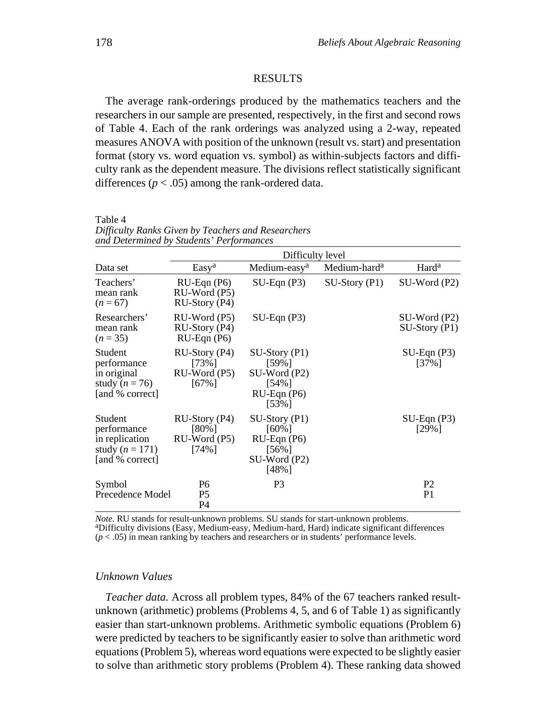#### RESULTS

The average rank-orderings produced by the mathematics teachers and the researchers in our sample are presented, respectively, in the first and second rows of Table 4. Each of the rank orderings was analyzed using a 2-way, repeated measures ANOVA with position of the unknown (result vs. start) and presentation format (story vs. word equation vs. symbol) as within-subjects factors and difficulty rank as the dependent measure. The divisions reflect statistically significant differences ( $p < .05$ ) among the rank-ordered data.

|                                                                                    | ana Determinea by Simaenis Terjormanees<br>Difficulty level |                                                                                       |                          |                                   |  |
|------------------------------------------------------------------------------------|-------------------------------------------------------------|---------------------------------------------------------------------------------------|--------------------------|-----------------------------------|--|
| Data set                                                                           | Easy <sup>a</sup>                                           | Medium-easy <sup>a</sup>                                                              | Medium-hard <sup>a</sup> | Hard <sup>a</sup>                 |  |
| Teachers'<br>mean rank<br>$(n = 67)$                                               | $RU$ -Eqn $(P6)$<br>RU-Word (P5)<br>$RU-Story (P4)$         | $SU-Eqn(P3)$                                                                          | $SU-$ Story (P1)         | $SU-Word(P2)$                     |  |
| Researchers'<br>mean rank<br>$(n=35)$                                              | RU-Word (P5)<br>RU-Story (P4)<br>$RU$ -Eqn $(P6)$           | $SU-Eqn(P3)$                                                                          |                          | $SU-Word(P2)$<br>$SU-$ Story (P1) |  |
| Student<br>performance<br>in original<br>study ( $n = 76$ )<br>[and % correct]     | $RU-Story (P4)$<br>$[73\%]$<br>$RU-Word(P5)$<br>$[67\%]$    | $SU-$ Story (P1)<br>$[59\%]$<br>SU-Word (P2)<br>$[54\%]$<br>RU-Eqn (P6)<br>$[53\%]$   |                          | $SU-Eqn(P3)$<br>$[37\%]$          |  |
| Student<br>performance<br>in replication<br>study ( $n = 171$ )<br>[and % correct] | $RU-Story (P4)$<br>$[80\%]$<br>RU-Word (P5)<br>$[74\%]$     | $SU-Story (P1)$<br>$[60\%]$<br>$RU$ -Eqn $(P6)$<br>$[56\%]$<br>$SU-Word(P2)$<br>[48%] |                          | $SU-Eqn(P3)$<br>$[29\%]$          |  |
| Symbol<br>Precedence Model                                                         | P6<br>P <sub>5</sub><br>P4                                  | P3                                                                                    |                          | P <sub>2</sub><br>P <sub>1</sub>  |  |

Table 4 *Difficulty Ranks Given by Teachers and Researchers and Determined by Students' Performances*

*Note.* RU stands for result-unknown problems. SU stands for start-unknown problems.<br><sup>a</sup>Difficulty divisions (Easy, Medium-easy, Medium-hard, Hard) indicate significant differences (*p* < .05) in mean ranking by teachers and researchers or in students' performance levels.

## *Unknown Values*

*Teacher data.* Across all problem types, 84% of the 67 teachers ranked resultunknown (arithmetic) problems (Problems 4, 5, and 6 of Table 1) as significantly easier than start-unknown problems. Arithmetic symbolic equations (Problem 6) were predicted by teachers to be significantly easier to solve than arithmetic word equations (Problem 5), whereas word equations were expected to be slightly easier to solve than arithmetic story problems (Problem 4). These ranking data showed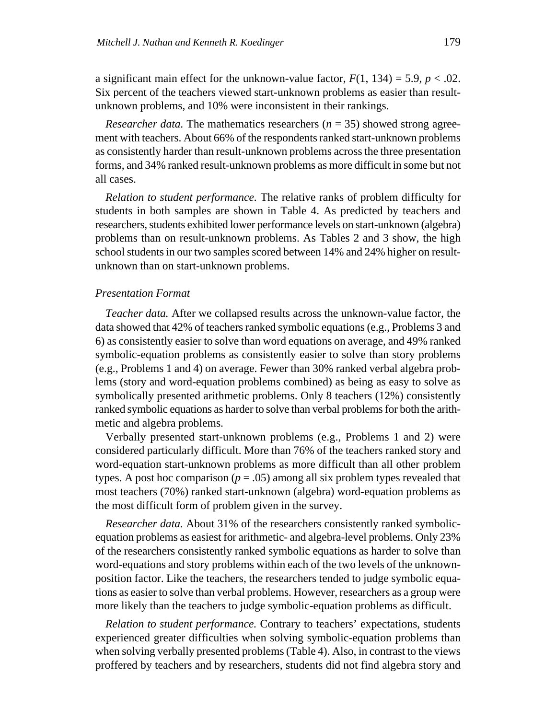a significant main effect for the unknown-value factor,  $F(1, 134) = 5.9$ ,  $p < .02$ . Six percent of the teachers viewed start-unknown problems as easier than resultunknown problems, and 10% were inconsistent in their rankings.

*Researcher data.* The mathematics researchers ( $n = 35$ ) showed strong agreement with teachers. About 66% of the respondents ranked start-unknown problems as consistently harder than result-unknown problems across the three presentation forms, and 34% ranked result-unknown problems as more difficult in some but not all cases.

*Relation to student performance.* The relative ranks of problem difficulty for students in both samples are shown in Table 4. As predicted by teachers and researchers, students exhibited lower performance levels on start-unknown (algebra) problems than on result-unknown problems. As Tables 2 and 3 show, the high school students in our two samples scored between 14% and 24% higher on resultunknown than on start-unknown problems.

#### *Presentation Format*

*Teacher data.* After we collapsed results across the unknown-value factor, the data showed that 42% of teachers ranked symbolic equations (e.g., Problems 3 and 6) as consistently easier to solve than word equations on average, and 49% ranked symbolic-equation problems as consistently easier to solve than story problems (e.g., Problems 1 and 4) on average. Fewer than 30% ranked verbal algebra problems (story and word-equation problems combined) as being as easy to solve as symbolically presented arithmetic problems. Only 8 teachers (12%) consistently ranked symbolic equations as harder to solve than verbal problems for both the arithmetic and algebra problems.

Verbally presented start-unknown problems (e.g., Problems 1 and 2) were considered particularly difficult. More than 76% of the teachers ranked story and word-equation start-unknown problems as more difficult than all other problem types. A post hoc comparison ( $p = .05$ ) among all six problem types revealed that most teachers (70%) ranked start-unknown (algebra) word-equation problems as the most difficult form of problem given in the survey.

*Researcher data.* About 31% of the researchers consistently ranked symbolicequation problems as easiest for arithmetic- and algebra-level problems. Only 23% of the researchers consistently ranked symbolic equations as harder to solve than word-equations and story problems within each of the two levels of the unknownposition factor. Like the teachers, the researchers tended to judge symbolic equations as easier to solve than verbal problems. However, researchers as a group were more likely than the teachers to judge symbolic-equation problems as difficult.

*Relation to student performance.* Contrary to teachers' expectations, students experienced greater difficulties when solving symbolic-equation problems than when solving verbally presented problems (Table 4). Also, in contrast to the views proffered by teachers and by researchers, students did not find algebra story and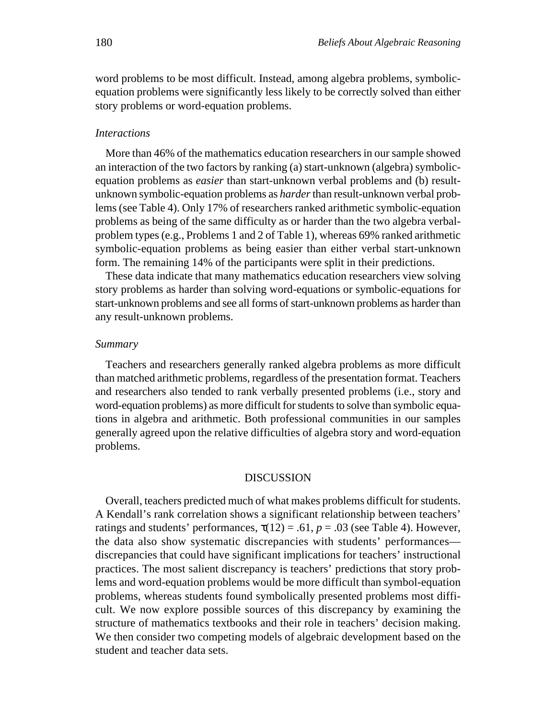word problems to be most difficult. Instead, among algebra problems, symbolicequation problems were significantly less likely to be correctly solved than either story problems or word-equation problems.

### *Interactions*

More than 46% of the mathematics education researchers in our sample showed an interaction of the two factors by ranking (a) start-unknown (algebra) symbolicequation problems as *easier* than start-unknown verbal problems and (b) resultunknown symbolic-equation problems as *harder*than result-unknown verbal problems (see Table 4). Only 17% of researchers ranked arithmetic symbolic-equation problems as being of the same difficulty as or harder than the two algebra verbalproblem types (e.g., Problems 1 and 2 of Table 1), whereas 69% ranked arithmetic symbolic-equation problems as being easier than either verbal start-unknown form. The remaining 14% of the participants were split in their predictions.

These data indicate that many mathematics education researchers view solving story problems as harder than solving word-equations or symbolic-equations for start-unknown problems and see all forms of start-unknown problems as harder than any result-unknown problems.

### *Summary*

Teachers and researchers generally ranked algebra problems as more difficult than matched arithmetic problems, regardless of the presentation format. Teachers and researchers also tended to rank verbally presented problems (i.e., story and word-equation problems) as more difficult for students to solve than symbolic equations in algebra and arithmetic. Both professional communities in our samples generally agreed upon the relative difficulties of algebra story and word-equation problems.

#### DISCUSSION

Overall, teachers predicted much of what makes problems difficult for students. A Kendall's rank correlation shows a significant relationship between teachers' ratings and students' performances,  $\tau(12) = .61$ ,  $p = .03$  (see Table 4). However, the data also show systematic discrepancies with students' performances discrepancies that could have significant implications for teachers' instructional practices. The most salient discrepancy is teachers' predictions that story problems and word-equation problems would be more difficult than symbol-equation problems, whereas students found symbolically presented problems most difficult. We now explore possible sources of this discrepancy by examining the structure of mathematics textbooks and their role in teachers' decision making. We then consider two competing models of algebraic development based on the student and teacher data sets.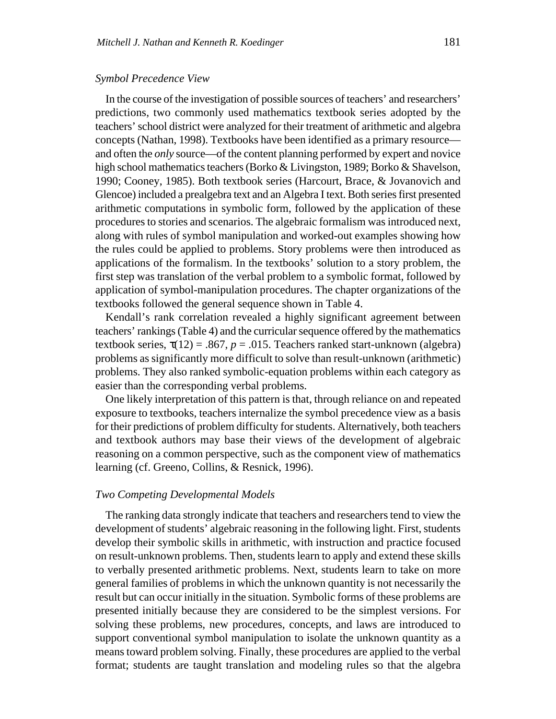### *Symbol Precedence View*

In the course of the investigation of possible sources of teachers' and researchers' predictions, two commonly used mathematics textbook series adopted by the teachers' school district were analyzed for their treatment of arithmetic and algebra concepts (Nathan, 1998). Textbooks have been identified as a primary resource and often the *only* source—of the content planning performed by expert and novice high school mathematics teachers (Borko & Livingston, 1989; Borko & Shavelson, 1990; Cooney, 1985). Both textbook series (Harcourt, Brace, & Jovanovich and Glencoe) included a prealgebra text and an Algebra I text. Both series first presented arithmetic computations in symbolic form, followed by the application of these procedures to stories and scenarios. The algebraic formalism was introduced next, along with rules of symbol manipulation and worked-out examples showing how the rules could be applied to problems. Story problems were then introduced as applications of the formalism. In the textbooks' solution to a story problem, the first step was translation of the verbal problem to a symbolic format, followed by application of symbol-manipulation procedures. The chapter organizations of the textbooks followed the general sequence shown in Table 4.

Kendall's rank correlation revealed a highly significant agreement between teachers' rankings (Table 4) and the curricular sequence offered by the mathematics textbook series,  $\tau(12) = .867$ ,  $p = .015$ . Teachers ranked start-unknown (algebra) problems as significantly more difficult to solve than result-unknown (arithmetic) problems. They also ranked symbolic-equation problems within each category as easier than the corresponding verbal problems.

One likely interpretation of this pattern is that, through reliance on and repeated exposure to textbooks, teachers internalize the symbol precedence view as a basis for their predictions of problem difficulty for students. Alternatively, both teachers and textbook authors may base their views of the development of algebraic reasoning on a common perspective, such as the component view of mathematics learning (cf. Greeno, Collins, & Resnick, 1996).

## *Two Competing Developmental Models*

The ranking data strongly indicate that teachers and researchers tend to view the development of students' algebraic reasoning in the following light. First, students develop their symbolic skills in arithmetic, with instruction and practice focused on result-unknown problems. Then, students learn to apply and extend these skills to verbally presented arithmetic problems. Next, students learn to take on more general families of problems in which the unknown quantity is not necessarily the result but can occur initially in the situation. Symbolic forms of these problems are presented initially because they are considered to be the simplest versions. For solving these problems, new procedures, concepts, and laws are introduced to support conventional symbol manipulation to isolate the unknown quantity as a means toward problem solving. Finally, these procedures are applied to the verbal format; students are taught translation and modeling rules so that the algebra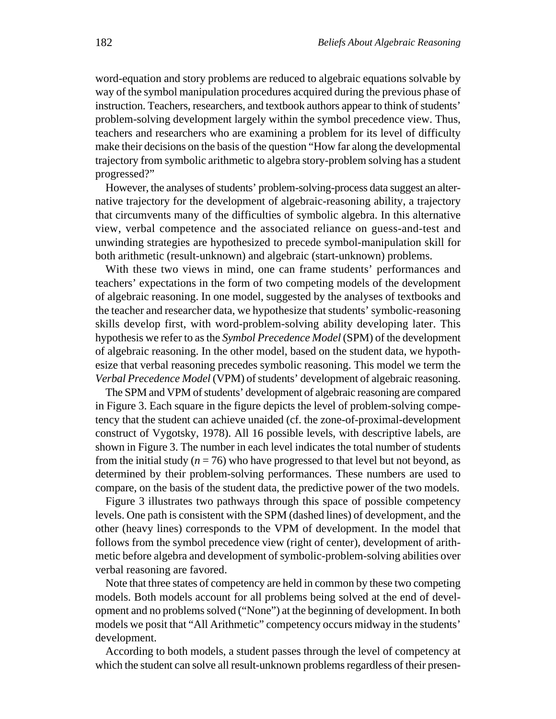word-equation and story problems are reduced to algebraic equations solvable by way of the symbol manipulation procedures acquired during the previous phase of instruction. Teachers, researchers, and textbook authors appear to think of students' problem-solving development largely within the symbol precedence view. Thus, teachers and researchers who are examining a problem for its level of difficulty make their decisions on the basis of the question "How far along the developmental trajectory from symbolic arithmetic to algebra story-problem solving has a student progressed?"

However, the analyses of students' problem-solving-process data suggest an alternative trajectory for the development of algebraic-reasoning ability, a trajectory that circumvents many of the difficulties of symbolic algebra. In this alternative view, verbal competence and the associated reliance on guess-and-test and unwinding strategies are hypothesized to precede symbol-manipulation skill for both arithmetic (result-unknown) and algebraic (start-unknown) problems.

With these two views in mind, one can frame students' performances and teachers' expectations in the form of two competing models of the development of algebraic reasoning. In one model, suggested by the analyses of textbooks and the teacher and researcher data, we hypothesize that students' symbolic-reasoning skills develop first, with word-problem-solving ability developing later. This hypothesis we refer to as the *Symbol Precedence Model* (SPM) of the development of algebraic reasoning. In the other model, based on the student data, we hypothesize that verbal reasoning precedes symbolic reasoning. This model we term the *Verbal Precedence Model* (VPM) of students' development of algebraic reasoning.

The SPM and VPM of students' development of algebraic reasoning are compared in Figure 3. Each square in the figure depicts the level of problem-solving competency that the student can achieve unaided (cf. the zone-of-proximal-development construct of Vygotsky, 1978). All 16 possible levels, with descriptive labels, are shown in Figure 3. The number in each level indicates the total number of students from the initial study  $(n = 76)$  who have progressed to that level but not beyond, as determined by their problem-solving performances. These numbers are used to compare, on the basis of the student data, the predictive power of the two models.

Figure 3 illustrates two pathways through this space of possible competency levels. One path is consistent with the SPM (dashed lines) of development, and the other (heavy lines) corresponds to the VPM of development. In the model that follows from the symbol precedence view (right of center), development of arithmetic before algebra and development of symbolic-problem-solving abilities over verbal reasoning are favored.

Note that three states of competency are held in common by these two competing models. Both models account for all problems being solved at the end of development and no problems solved ("None") at the beginning of development. In both models we posit that "All Arithmetic" competency occurs midway in the students' development.

According to both models, a student passes through the level of competency at which the student can solve all result-unknown problems regardless of their presen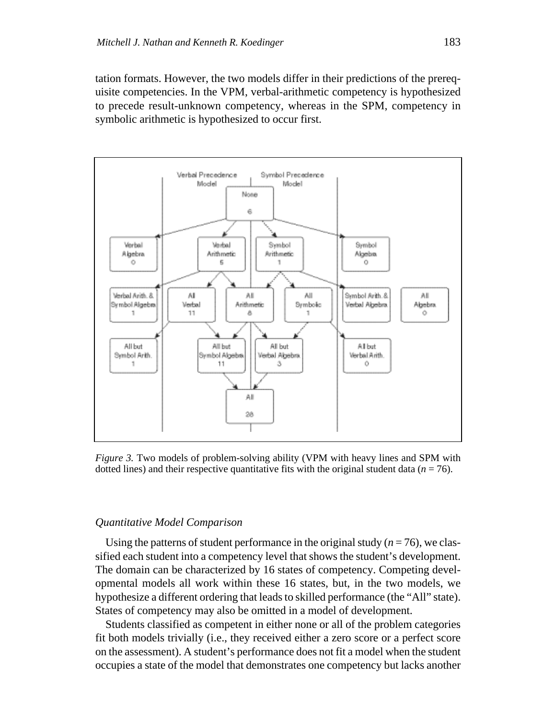tation formats. However, the two models differ in their predictions of the prerequisite competencies. In the VPM, verbal-arithmetic competency is hypothesized to precede result-unknown competency, whereas in the SPM, competency in symbolic arithmetic is hypothesized to occur first.



*Figure 3.* Two models of problem-solving ability (VPM with heavy lines and SPM with dotted lines) and their respective quantitative fits with the original student data  $(n = 76)$ .

### *Quantitative Model Comparison*

Using the patterns of student performance in the original study  $(n = 76)$ , we classified each student into a competency level that shows the student's development. The domain can be characterized by 16 states of competency. Competing developmental models all work within these 16 states, but, in the two models, we hypothesize a different ordering that leads to skilled performance (the "All" state). States of competency may also be omitted in a model of development.

Students classified as competent in either none or all of the problem categories fit both models trivially (i.e., they received either a zero score or a perfect score on the assessment). A student's performance does not fit a model when the student occupies a state of the model that demonstrates one competency but lacks another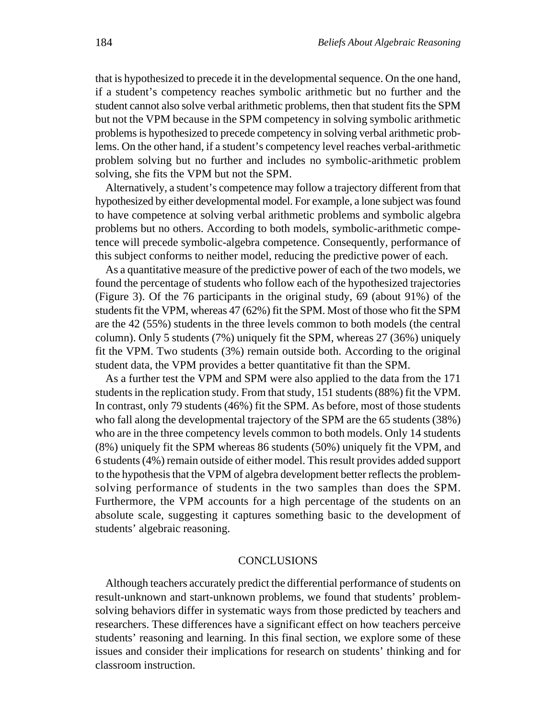that is hypothesized to precede it in the developmental sequence. On the one hand, if a student's competency reaches symbolic arithmetic but no further and the student cannot also solve verbal arithmetic problems, then that student fits the SPM but not the VPM because in the SPM competency in solving symbolic arithmetic problems is hypothesized to precede competency in solving verbal arithmetic problems. On the other hand, if a student's competency level reaches verbal-arithmetic problem solving but no further and includes no symbolic-arithmetic problem solving, she fits the VPM but not the SPM.

Alternatively, a student's competence may follow a trajectory different from that hypothesized by either developmental model. For example, a lone subject was found to have competence at solving verbal arithmetic problems and symbolic algebra problems but no others. According to both models, symbolic-arithmetic competence will precede symbolic-algebra competence. Consequently, performance of this subject conforms to neither model, reducing the predictive power of each.

As a quantitative measure of the predictive power of each of the two models, we found the percentage of students who follow each of the hypothesized trajectories (Figure 3). Of the 76 participants in the original study, 69 (about 91%) of the students fit the VPM, whereas 47 (62%) fit the SPM. Most of those who fit the SPM are the 42 (55%) students in the three levels common to both models (the central column). Only 5 students (7%) uniquely fit the SPM, whereas 27 (36%) uniquely fit the VPM. Two students (3%) remain outside both. According to the original student data, the VPM provides a better quantitative fit than the SPM.

As a further test the VPM and SPM were also applied to the data from the 171 students in the replication study. From that study, 151 students (88%) fit the VPM. In contrast, only 79 students (46%) fit the SPM. As before, most of those students who fall along the developmental trajectory of the SPM are the 65 students (38%) who are in the three competency levels common to both models. Only 14 students (8%) uniquely fit the SPM whereas 86 students (50%) uniquely fit the VPM, and 6 students (4%) remain outside of either model. This result provides added support to the hypothesis that the VPM of algebra development better reflects the problemsolving performance of students in the two samples than does the SPM. Furthermore, the VPM accounts for a high percentage of the students on an absolute scale, suggesting it captures something basic to the development of students' algebraic reasoning.

## **CONCLUSIONS**

Although teachers accurately predict the differential performance of students on result-unknown and start-unknown problems, we found that students' problemsolving behaviors differ in systematic ways from those predicted by teachers and researchers. These differences have a significant effect on how teachers perceive students' reasoning and learning. In this final section, we explore some of these issues and consider their implications for research on students' thinking and for classroom instruction.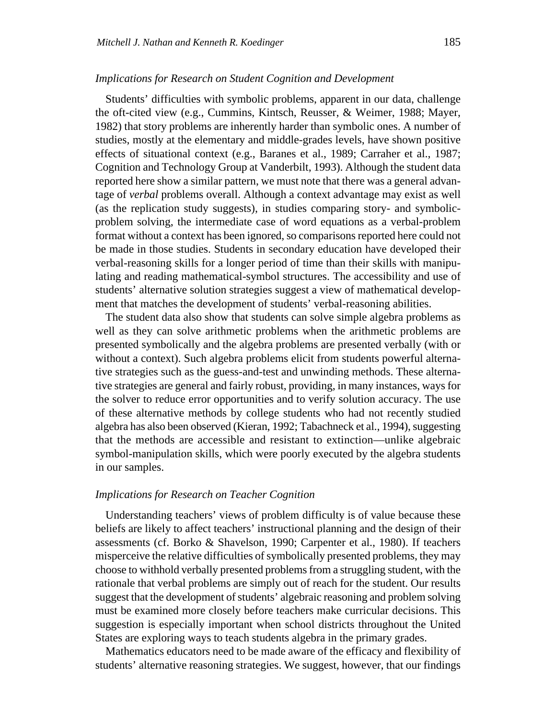### *Implications for Research on Student Cognition and Development*

Students' difficulties with symbolic problems, apparent in our data, challenge the oft-cited view (e.g., Cummins, Kintsch, Reusser, & Weimer, 1988; Mayer, 1982) that story problems are inherently harder than symbolic ones. A number of studies, mostly at the elementary and middle-grades levels, have shown positive effects of situational context (e.g., Baranes et al., 1989; Carraher et al., 1987; Cognition and Technology Group at Vanderbilt, 1993). Although the student data reported here show a similar pattern, we must note that there was a general advantage of *verbal* problems overall. Although a context advantage may exist as well (as the replication study suggests), in studies comparing story- and symbolicproblem solving, the intermediate case of word equations as a verbal-problem format without a context has been ignored, so comparisons reported here could not be made in those studies. Students in secondary education have developed their verbal-reasoning skills for a longer period of time than their skills with manipulating and reading mathematical-symbol structures. The accessibility and use of students' alternative solution strategies suggest a view of mathematical development that matches the development of students' verbal-reasoning abilities.

The student data also show that students can solve simple algebra problems as well as they can solve arithmetic problems when the arithmetic problems are presented symbolically and the algebra problems are presented verbally (with or without a context). Such algebra problems elicit from students powerful alternative strategies such as the guess-and-test and unwinding methods. These alternative strategies are general and fairly robust, providing, in many instances, ways for the solver to reduce error opportunities and to verify solution accuracy. The use of these alternative methods by college students who had not recently studied algebra has also been observed (Kieran, 1992; Tabachneck et al., 1994), suggesting that the methods are accessible and resistant to extinction—unlike algebraic symbol-manipulation skills, which were poorly executed by the algebra students in our samples.

## *Implications for Research on Teacher Cognition*

Understanding teachers' views of problem difficulty is of value because these beliefs are likely to affect teachers' instructional planning and the design of their assessments (cf. Borko & Shavelson, 1990; Carpenter et al., 1980). If teachers misperceive the relative difficulties of symbolically presented problems, they may choose to withhold verbally presented problems from a struggling student, with the rationale that verbal problems are simply out of reach for the student. Our results suggest that the development of students' algebraic reasoning and problem solving must be examined more closely before teachers make curricular decisions. This suggestion is especially important when school districts throughout the United States are exploring ways to teach students algebra in the primary grades.

Mathematics educators need to be made aware of the efficacy and flexibility of students' alternative reasoning strategies. We suggest, however, that our findings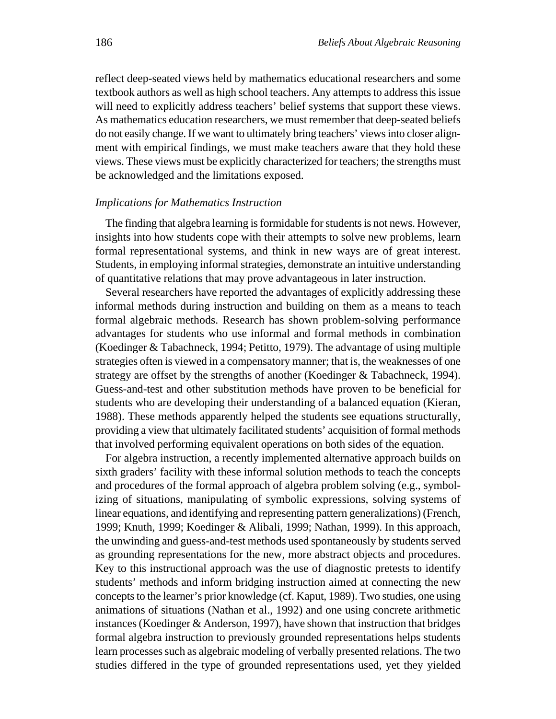reflect deep-seated views held by mathematics educational researchers and some textbook authors as well as high school teachers. Any attempts to address this issue will need to explicitly address teachers' belief systems that support these views. As mathematics education researchers, we must remember that deep-seated beliefs do not easily change. If we want to ultimately bring teachers' views into closer alignment with empirical findings, we must make teachers aware that they hold these views. These views must be explicitly characterized for teachers; the strengths must be acknowledged and the limitations exposed.

#### *Implications for Mathematics Instruction*

The finding that algebra learning is formidable for students is not news. However, insights into how students cope with their attempts to solve new problems, learn formal representational systems, and think in new ways are of great interest. Students, in employing informal strategies, demonstrate an intuitive understanding of quantitative relations that may prove advantageous in later instruction.

Several researchers have reported the advantages of explicitly addressing these informal methods during instruction and building on them as a means to teach formal algebraic methods. Research has shown problem-solving performance advantages for students who use informal and formal methods in combination (Koedinger & Tabachneck, 1994; Petitto, 1979). The advantage of using multiple strategies often is viewed in a compensatory manner; that is, the weaknesses of one strategy are offset by the strengths of another (Koedinger & Tabachneck, 1994). Guess-and-test and other substitution methods have proven to be beneficial for students who are developing their understanding of a balanced equation (Kieran, 1988). These methods apparently helped the students see equations structurally, providing a view that ultimately facilitated students' acquisition of formal methods that involved performing equivalent operations on both sides of the equation.

For algebra instruction, a recently implemented alternative approach builds on sixth graders' facility with these informal solution methods to teach the concepts and procedures of the formal approach of algebra problem solving (e.g., symbolizing of situations, manipulating of symbolic expressions, solving systems of linear equations, and identifying and representing pattern generalizations) (French, 1999; Knuth, 1999; Koedinger & Alibali, 1999; Nathan, 1999). In this approach, the unwinding and guess-and-test methods used spontaneously by students served as grounding representations for the new, more abstract objects and procedures. Key to this instructional approach was the use of diagnostic pretests to identify students' methods and inform bridging instruction aimed at connecting the new concepts to the learner's prior knowledge (cf. Kaput, 1989). Two studies, one using animations of situations (Nathan et al., 1992) and one using concrete arithmetic instances (Koedinger & Anderson, 1997), have shown that instruction that bridges formal algebra instruction to previously grounded representations helps students learn processes such as algebraic modeling of verbally presented relations. The two studies differed in the type of grounded representations used, yet they yielded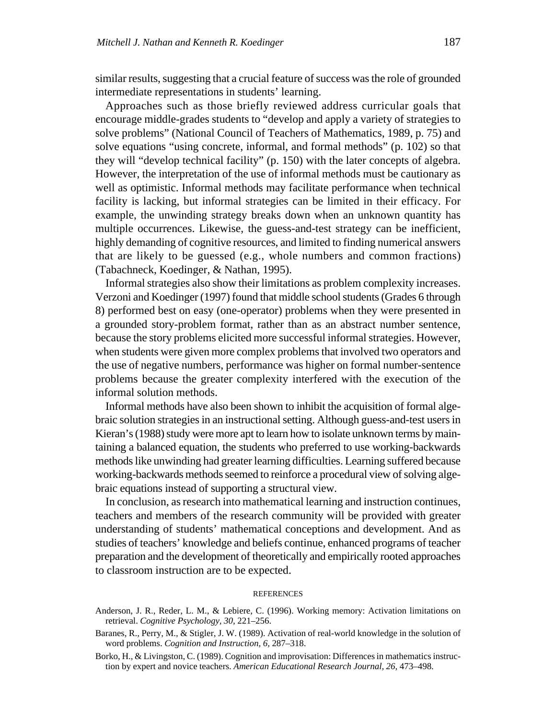similar results, suggesting that a crucial feature of success was the role of grounded intermediate representations in students' learning.

Approaches such as those briefly reviewed address curricular goals that encourage middle-grades students to "develop and apply a variety of strategies to solve problems" (National Council of Teachers of Mathematics, 1989, p. 75) and solve equations "using concrete, informal, and formal methods" (p. 102) so that they will "develop technical facility" (p. 150) with the later concepts of algebra. However, the interpretation of the use of informal methods must be cautionary as well as optimistic. Informal methods may facilitate performance when technical facility is lacking, but informal strategies can be limited in their efficacy. For example, the unwinding strategy breaks down when an unknown quantity has multiple occurrences. Likewise, the guess-and-test strategy can be inefficient, highly demanding of cognitive resources, and limited to finding numerical answers that are likely to be guessed (e.g., whole numbers and common fractions) (Tabachneck, Koedinger, & Nathan, 1995).

Informal strategies also show their limitations as problem complexity increases. Verzoni and Koedinger (1997) found that middle school students (Grades 6 through 8) performed best on easy (one-operator) problems when they were presented in a grounded story-problem format, rather than as an abstract number sentence, because the story problems elicited more successful informal strategies. However, when students were given more complex problems that involved two operators and the use of negative numbers, performance was higher on formal number-sentence problems because the greater complexity interfered with the execution of the informal solution methods.

Informal methods have also been shown to inhibit the acquisition of formal algebraic solution strategies in an instructional setting. Although guess-and-test users in Kieran's (1988) study were more apt to learn how to isolate unknown terms by maintaining a balanced equation, the students who preferred to use working-backwards methods like unwinding had greater learning difficulties. Learning suffered because working-backwards methods seemed to reinforce a procedural view of solving algebraic equations instead of supporting a structural view.

In conclusion, as research into mathematical learning and instruction continues, teachers and members of the research community will be provided with greater understanding of students' mathematical conceptions and development. And as studies of teachers' knowledge and beliefs continue, enhanced programs of teacher preparation and the development of theoretically and empirically rooted approaches to classroom instruction are to be expected.

#### REFERENCES

- Anderson, J. R., Reder, L. M., & Lebiere, C. (1996). Working memory: Activation limitations on retrieval. *Cognitive Psychology, 30,* 221–256.
- Baranes, R., Perry, M., & Stigler, J. W. (1989). Activation of real-world knowledge in the solution of word problems. *Cognition and Instruction, 6,* 287–318.
- Borko, H., & Livingston, C. (1989). Cognition and improvisation: Differences in mathematics instruction by expert and novice teachers. *American Educational Research Journal, 26,* 473–498.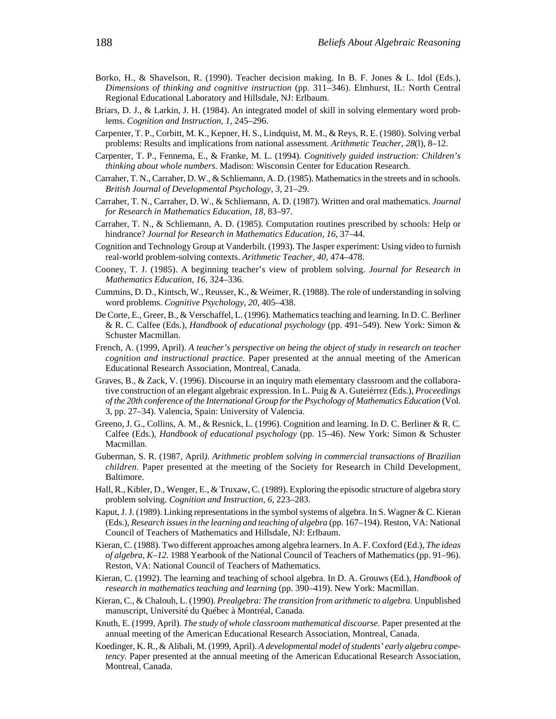- Borko, H., & Shavelson, R. (1990). Teacher decision making. In B. F. Jones & L. Idol (Eds.), *Dimensions of thinking and cognitive instruction* (pp. 311–346). Elmhurst, IL: North Central Regional Educational Laboratory and Hillsdale, NJ: Erlbaum.
- Briars, D. J., & Larkin, J. H. (1984). An integrated model of skill in solving elementary word problems. *Cognition and Instruction, 1,* 245–296.
- Carpenter, T. P., Corbitt, M. K., Kepner, H. S., Lindquist, M. M., & Reys, R. E. (1980). Solving verbal problems: Results and implications from national assessment. *Arithmetic Teacher, 28*(l), 8–12.
- Carpenter, T. P., Fennema, E., & Franke, M. L. (1994). *Cognitively guided instruction: Children's thinking about whole numbers.* Madison: Wisconsin Center for Education Research.
- Carraher, T. N., Carraher, D. W., & Schliemann, A. D. (1985). Mathematics in the streets and in schools. *British Journal of Developmental Psychology, 3,* 21–29.
- Carraher, T. N., Carraher, D. W., & Schliemann, A. D. (1987). Written and oral mathematics. *Journal for Research in Mathematics Education, 18,* 83–97.
- Carraher, T. N., & Schliemann, A. D. (1985). Computation routines prescribed by schools: Help or hindrance? *Journal for Research in Mathematics Education, 16,* 37–44.
- Cognition and Technology Group at Vanderbilt. (1993). The Jasper experiment: Using video to furnish real-world problem-solving contexts. *Arithmetic Teacher, 40,* 474–478.
- Cooney, T. J. (1985). A beginning teacher's view of problem solving. *Journal for Research in Mathematics Education, 16,* 324–336.
- Cummins, D. D., Kintsch, W., Reusser, K., & Weimer, R. (1988). The role of understanding in solving word problems. *Cognitive Psychology, 20,* 405–438.
- De Corte, E., Greer, B., & Verschaffel, L. (1996). Mathematics teaching and learning. In D. C. Berliner & R. C. Calfee (Eds.), *Handbook of educational psychology* (pp. 491–549). New York: Simon & Schuster Macmillan.
- French, A. (1999, April). *A teacher's perspective on being the object of study in research on teacher cognition and instructional practice.* Paper presented at the annual meeting of the American Educational Research Association, Montreal, Canada.
- Graves, B., & Zack, V. (1996). Discourse in an inquiry math elementary classroom and the collaborative construction of an elegant algebraic expression. In L. Puig & A. Guteiérrez (Eds.), *Proceedings of the 20th conference of the International Group for the Psychology of Mathematics Education* (Vol. 3, pp. 27–34). Valencia, Spain: University of Valencia.
- Greeno, J. G., Collins, A. M., & Resnick, L. (1996). Cognition and learning. In D. C. Berliner & R. C. Calfee (Eds.), *Handbook of educational psychology* (pp. 15–46). New York: Simon & Schuster Macmillan.
- Guberman, S. R. (1987, April*). Arithmetic problem solving in commercial transactions of Brazilian children.* Paper presented at the meeting of the Society for Research in Child Development, Baltimore.
- Hall, R., Kibler, D., Wenger, E., & Truxaw, C. (1989). Exploring the episodic structure of algebra story problem solving. *Cognition and Instruction, 6,* 223–283.
- Kaput, J. J. (1989). Linking representations in the symbol systems of algebra. In S. Wagner & C. Kieran (Eds.), *Research issues in the learning and teaching of algebra* (pp. 167–194). Reston, VA: National Council of Teachers of Mathematics and Hillsdale, NJ: Erlbaum.
- Kieran, C. (1988). Two different approaches among algebra learners. In A. F. Coxford (Ed.), *The ideas of algebra, K–12.* 1988 Yearbook of the National Council of Teachers of Mathematics (pp. 91–96). Reston, VA: National Council of Teachers of Mathematics.
- Kieran, C. (1992). The learning and teaching of school algebra. In D. A. Grouws (Ed.), *Handbook of research in mathematics teaching and learning* (pp. 390–419). New York: Macmillan.
- Kieran, C., & Chalouh, L. (1990). *Prealgebra: The transition from arithmetic to algebra.* Unpublished manuscript, Université du Québec à Montréal, Canada.
- Knuth, E. (1999, April). *The study of whole classroom mathematical discourse.* Paper presented at the annual meeting of the American Educational Research Association, Montreal, Canada.
- Koedinger, K. R., & Alibali, M. (1999, April). *A developmental model of students' early algebra competency.* Paper presented at the annual meeting of the American Educational Research Association, Montreal, Canada.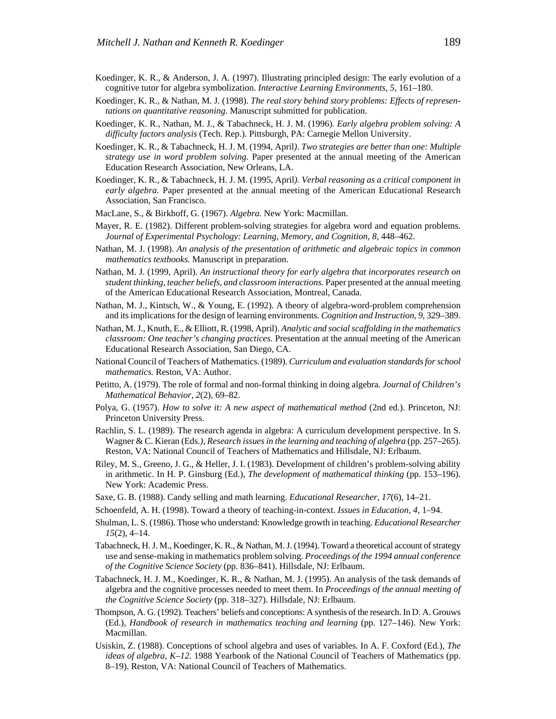- Koedinger, K. R., & Anderson, J. A. (1997). Illustrating principled design: The early evolution of a cognitive tutor for algebra symbolization. *Interactive Learning Environments, 5,* 161–180.
- Koedinger, K. R., & Nathan, M. J. (1998). *The real story behind story problems: Effects of representations on quantitative reasoning.* Manuscript submitted for publication.
- Koedinger, K. R., Nathan, M. J., & Tabachneck, H. J. M. (1996). *Early algebra problem solving: A difficulty factors analysis* (Tech. Rep.). Pittsburgh, PA: Carnegie Mellon University.
- Koedinger, K. R., & Tabachneck, H. J. M. (1994, April*)*. *Two strategies are better than one: Multiple strategy use in word problem solving.* Paper presented at the annual meeting of the American Education Research Association, New Orleans, LA.
- Koedinger, K. R., & Tabachneck, H. J. M. (1995, April*). Verbal reasoning as a critical component in early algebra.* Paper presented at the annual meeting of the American Educational Research Association, San Francisco.
- MacLane, S., & Birkhoff, G. (1967). *Algebra.* New York: Macmillan.
- Mayer, R. E. (1982). Different problem-solving strategies for algebra word and equation problems. *Journal of Experimental Psychology: Learning, Memory, and Cognition, 8,* 448–462.
- Nathan, M. J. (1998). *An analysis of the presentation of arithmetic and algebraic topics in common mathematics textbooks.* Manuscript in preparation.
- Nathan, M. J. (1999, April). *An instructional theory for early algebra that incorporates research on student thinking, teacher beliefs, and classroom interactions.* Paper presented at the annual meeting of the American Educational Research Association, Montreal, Canada.
- Nathan, M. J., Kintsch, W., & Young, E. (1992). A theory of algebra-word-problem comprehension and its implications for the design of learning environments*. Cognition and Instruction, 9,* 329–389.
- Nathan, M. J., Knuth, E., & Elliott, R. (1998, April). *Analytic and social scaffolding in the mathematics classroom: One teacher's changing practices.* Presentation at the annual meeting of the American Educational Research Association, San Diego, CA.
- National Council of Teachers of Mathematics. (1989). *Curriculum and evaluation standards for school mathematics.* Reston, VA: Author.
- Petitto, A. (1979). The role of formal and non-formal thinking in doing algebra*. Journal of Children's Mathematical Behavior, 2*(2), 69–82.
- Polya, G. (1957). *How to solve it: A new aspect of mathematical method* (2nd ed.). Princeton, NJ: Princeton University Press.
- Rachlin, S. L. (1989). The research agenda in algebra: A curriculum development perspective. In S. Wagner & C. Kieran (Eds*.)*, *Research issues in the learning and teaching of algebra* (pp. 257–265). Reston, VA: National Council of Teachers of Mathematics and Hillsdale, NJ: Erlbaum.
- Riley, M. S., Greeno, J. G., & Heller, J. I. (1983). Development of children's problem-solving ability in arithmetic. In H. P. Ginsburg (Ed.), *The development of mathematical thinking* (pp. 153–196). New York: Academic Press.
- Saxe, G. B. (1988). Candy selling and math learning. *Educational Researcher, 17*(6), 14–21.
- Schoenfeld, A. H. (1998). Toward a theory of teaching-in-context. *Issues in Education, 4,* 1–94.
- Shulman, L. S. (1986). Those who understand: Knowledge growth in teaching. *Educational Researcher 15*(2), 4–14.
- Tabachneck, H. J. M., Koedinger, K. R., & Nathan, M. J. (1994). Toward a theoretical account of strategy use and sense-making in mathematics problem solving. *Proceedings of the 1994 annual conference of the Cognitive Science Society* (pp. 836–841). Hillsdale, NJ: Erlbaum.
- Tabachneck, H. J. M., Koedinger, K. R., & Nathan, M. J. (1995). An analysis of the task demands of algebra and the cognitive processes needed to meet them. In *Proceedings of the annual meeting of the Cognitive Science Society* (pp. 318–327). Hillsdale, NJ: Erlbaum.
- Thompson, A. G. (1992). Teachers' beliefs and conceptions: A synthesis of the research. In D. A. Grouws (Ed.), *Handbook of research in mathematics teaching and learning* (pp. 127–146). New York: Macmillan.
- Usiskin, Z. (1988). Conceptions of school algebra and uses of variables. In A. F. Coxford (Ed.), *The ideas of algebra, K–12.* 1988 Yearbook of the National Council of Teachers of Mathematics (pp. 8–19). Reston, VA: National Council of Teachers of Mathematics.